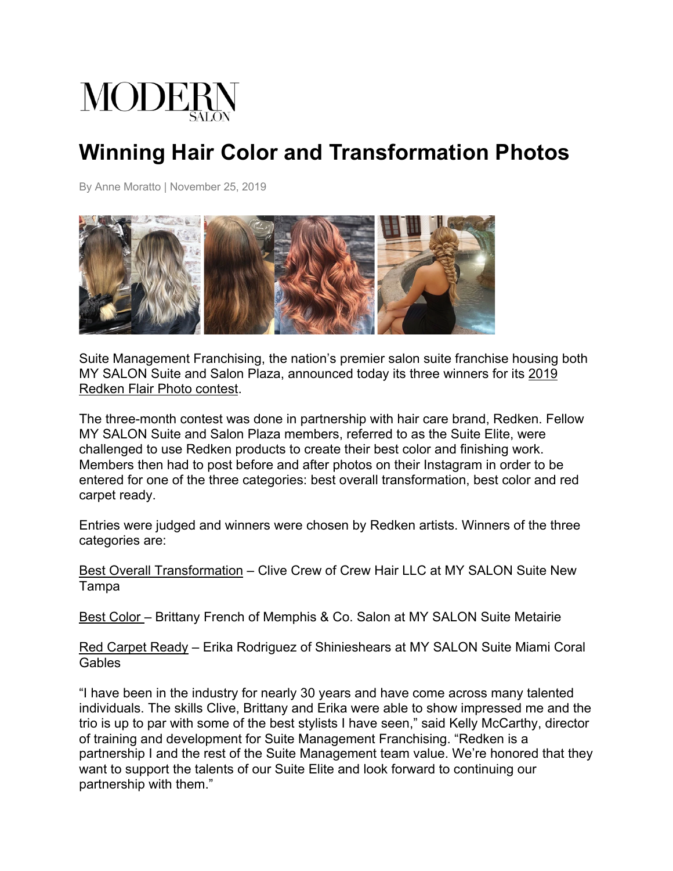

## **Winning Hair Color and Transformation Photos**

By Anne Moratto | November 25, 2019



Suite Management Franchising, the nation's premier salon suite franchise housing both MY SALON Suite and Salon Plaza, announced today its three winners for its 2019 Redken Flair Photo contest.

The three-month contest was done in partnership with hair care brand, Redken. Fellow MY SALON Suite and Salon Plaza members, referred to as the Suite Elite, were challenged to use Redken products to create their best color and finishing work. Members then had to post before and after photos on their Instagram in order to be entered for one of the three categories: best overall transformation, best color and red carpet ready.

Entries were judged and winners were chosen by Redken artists. Winners of the three categories are:

Best Overall Transformation – Clive Crew of Crew Hair LLC at MY SALON Suite New Tampa

Best Color – Brittany French of Memphis & Co. Salon at MY SALON Suite Metairie

Red Carpet Ready – Erika Rodriguez of Shinieshears at MY SALON Suite Miami Coral Gables

"I have been in the industry for nearly 30 years and have come across many talented individuals. The skills Clive, Brittany and Erika were able to show impressed me and the trio is up to par with some of the best stylists I have seen," said Kelly McCarthy, director of training and development for Suite Management Franchising. "Redken is a partnership I and the rest of the Suite Management team value. We're honored that they want to support the talents of our Suite Elite and look forward to continuing our partnership with them."